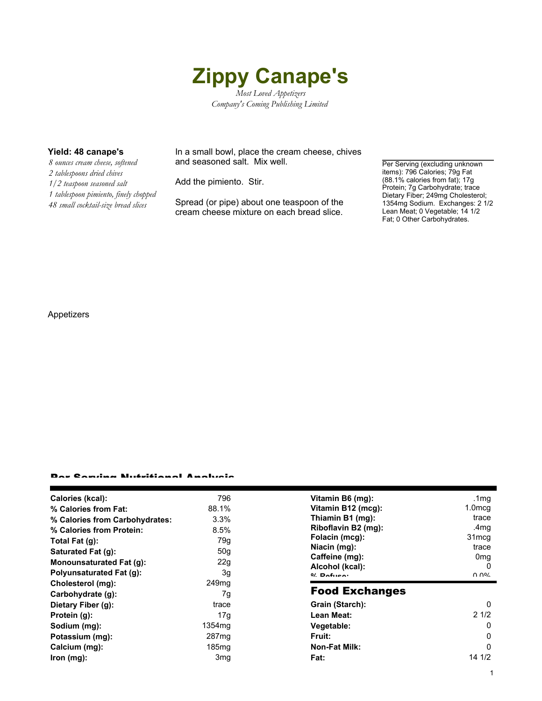

*Most Loved Appetizers Company's Coming Publishing Limited*

*8 ounces cream cheese, softened 2 tablespoons dried chives 1/2 teaspoon seasoned salt 1 tablespoon pimiento, finely chopped 48 small cocktail-size bread slices*

**Yield: 48 canape's** In a small bowl, place the cream cheese, chives and seasoned salt. Mix well.

Add the pimiento. Stir.

Spread (or pipe) about one teaspoon of the cream cheese mixture on each bread slice.

Per Serving (excluding unknown items): 796 Calories; 79g Fat (88.1% calories from fat); 17g Protein; 7g Carbohydrate; trace Dietary Fiber; 249mg Cholesterol; 1354mg Sodium. Exchanges: 2 1/2 Lean Meat; 0 Vegetable; 14 1/2 Fat; 0 Other Carbohydrates.

Appetizers

## Per Serving Nutritional Analysis

|                                 | 796               |                                   |                 |
|---------------------------------|-------------------|-----------------------------------|-----------------|
| Calories (kcal):                |                   | Vitamin B6 (mg):                  | .1mg            |
| % Calories from Fat:            | 88.1%             | Vitamin B12 (mcg):                | 1.0mcg          |
| % Calories from Carbohydrates:  | 3.3%              | Thiamin B1 (mg):                  | trace           |
| % Calories from Protein:        | 8.5%              | Riboflavin B2 (mg):               | .4mg            |
| Total Fat (g):                  | 79g               | Folacin (mcg):                    | 31mcg           |
| Saturated Fat (g):              | 50 <sub>g</sub>   | Niacin (mg):                      | trace           |
| <b>Monounsaturated Fat (g):</b> | 22g               | Caffeine (mg):                    | 0 <sub>mg</sub> |
| <b>Polyunsaturated Fat (g):</b> | 3g                | Alcohol (kcal):<br>$0/2$ Pofileo: | 0<br>በ በ%       |
| Cholesterol (mg):               | 249 <sub>mq</sub> |                                   |                 |
| Carbohydrate (g):               | 7g                | <b>Food Exchanges</b>             |                 |
| Dietary Fiber (g):              | trace             | Grain (Starch):                   | 0               |
| Protein (g):                    | 17q               | Lean Meat:                        | 21/2            |
| Sodium (mg):                    | 1354mg            | Vegetable:                        | 0               |
| Potassium (mg):                 | 287 <sub>mg</sub> | Fruit:                            | 0               |
| Calcium (mg):                   | 185 <sub>mq</sub> | <b>Non-Fat Milk:</b>              | 0               |
| lron (mg):                      | 3 <sub>mq</sub>   | Fat:                              | 14 1/2          |